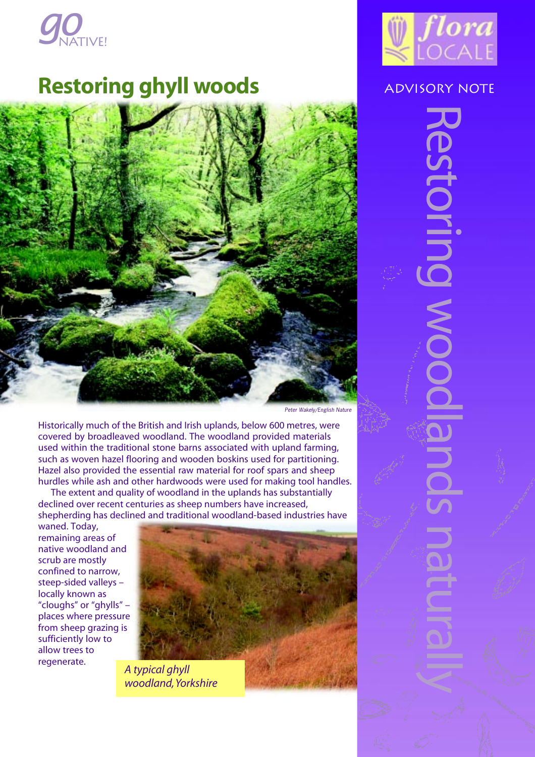

# **Restoring ghyll woods** ADVISORY NOTE





Restoring woodlands naturally

**MOOX** 

 $\overline{O}$ 

Peter Wakely/English Nature

Historically much of the British and Irish uplands, below 600 metres, were covered by broadleaved woodland. The woodland provided materials used within the traditional stone barns associated with upland farming, such as woven hazel flooring and wooden boskins used for partitioning. Hazel also provided the essential raw material for roof spars and sheep hurdles while ash and other hardwoods were used for making tool handles.

The extent and quality of woodland in the uplands has substantially declined over recent centuries as sheep numbers have increased, shepherding has declined and traditional woodland-based industries have

waned. Today, remaining areas of native woodland and scrub are mostly confined to narrow, steep-sided valleys – locally known as "cloughs" or "ghylls" – places where pressure from sheep grazing is sufficiently low to allow trees to regenerate.



*A typical ghyll woodland, Yorkshire*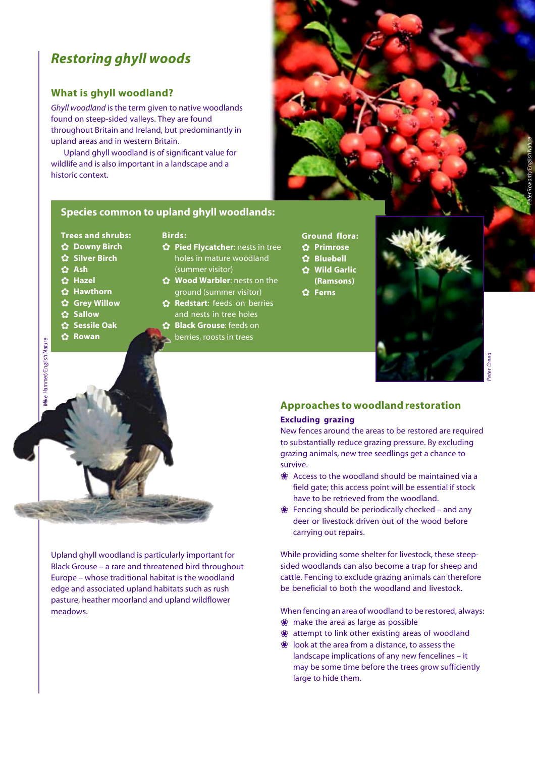## *Restoring ghyll woods*

### **What is ghyll woodland?**

*Ghyll woodland* is the term given to native woodlands found on steep-sided valleys. They are found throughout Britain and Ireland, but predominantly in upland areas and in western Britain.

Upland ghyll woodland is of significant value for wildlife and is also important in a landscape and a historic context.



#### **Species common to upland ghyll woodlands:**

- **Trees and shrubs:**
- ✿ **Downy Birch**
- ✿ **Silver Birch**
- ✿ **Ash**
- ✿ **Hazel**
- ✿ **Hawthorn**
- ✿ **Grey Willow**
- ✿ **Sallow**

Mike Hammet/English Nature

Wike Hammet/English Nature

- ✿ **Sessile Oak**
- ✿ **Rowan**

#### **Birds:**

- ✿ **Pied Flycatcher**: nests in tree holes in mature woodland (summer visitor)
- ✿ **Wood Warbler**: nests on the ground (summer visitor)
- ✿ **Redstart**: feeds on berries and nests in tree holes
- ✿ **Black Grouse**: feeds on berries, roosts in trees
- **Ground flora:**
- ✿ **Primrose**
- ✿ **Bluebell**
- ✿ **Wild Garlic (Ramsons)**
- ✿ **Ferns**



#### **Approaches to woodland restoration Excluding grazing**

New fences around the areas to be restored are required to substantially reduce grazing pressure. By excluding grazing animals, new tree seedlings get a chance to survive.

- ❀ Access to the woodland should be maintained via a field gate; this access point will be essential if stock have to be retrieved from the woodland.
- ❀ Fencing should be periodically checked and any deer or livestock driven out of the wood before carrying out repairs.

While providing some shelter for livestock, these steepsided woodlands can also become a trap for sheep and cattle. Fencing to exclude grazing animals can therefore be beneficial to both the woodland and livestock.

When fencing an area of woodland to be restored, always:

- ❀ make the area as large as possible
- ❀ attempt to link other existing areas of woodland
- ❀ look at the area from a distance, to assess the landscape implications of any new fencelines – it may be some time before the trees grow sufficiently large to hide them.

Upland ghyll woodland is particularly important for Black Grouse – a rare and threatened bird throughout Europe – whose traditional habitat is the woodland edge and associated upland habitats such as rush pasture, heather moorland and upland wildflower meadows.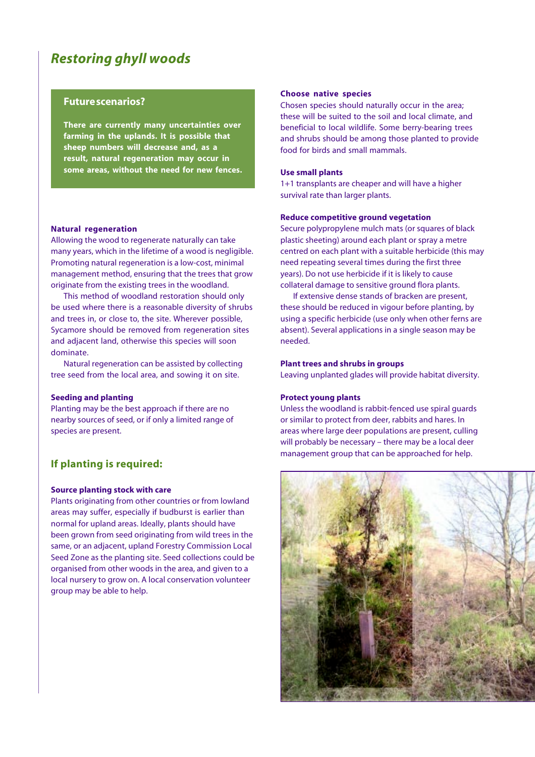### *Restoring ghyll woods*

#### **Future scenarios?**

**There are currently many uncertainties over farming in the uplands. It is possible that sheep numbers will decrease and, as a result, natural regeneration may occur in some areas, without the need for new fences.**

#### **Natural regeneration**

Allowing the wood to regenerate naturally can take many years, which in the lifetime of a wood is negligible. Promoting natural regeneration is a low-cost, minimal management method, ensuring that the trees that grow originate from the existing trees in the woodland.

This method of woodland restoration should only be used where there is a reasonable diversity of shrubs and trees in, or close to, the site. Wherever possible, Sycamore should be removed from regeneration sites and adjacent land, otherwise this species will soon dominate.

Natural regeneration can be assisted by collecting tree seed from the local area, and sowing it on site.

#### **Seeding and planting**

Planting may be the best approach if there are no nearby sources of seed, or if only a limited range of species are present.

#### **If planting is required:**

#### **Source planting stock with care**

Plants originating from other countries or from lowland areas may suffer, especially if budburst is earlier than normal for upland areas. Ideally, plants should have been grown from seed originating from wild trees in the same, or an adjacent, upland Forestry Commission Local Seed Zone as the planting site. Seed collections could be organised from other woods in the area, and given to a local nursery to grow on. A local conservation volunteer group may be able to help.

#### **Choose native species**

Chosen species should naturally occur in the area; these will be suited to the soil and local climate, and beneficial to local wildlife. Some berry-bearing trees and shrubs should be among those planted to provide food for birds and small mammals.

#### **Use small plants**

1+1 transplants are cheaper and will have a higher survival rate than larger plants.

#### **Reduce competitive ground vegetation**

Secure polypropylene mulch mats (or squares of black plastic sheeting) around each plant or spray a metre centred on each plant with a suitable herbicide (this may need repeating several times during the first three years). Do not use herbicide if it is likely to cause collateral damage to sensitive ground flora plants.

If extensive dense stands of bracken are present, these should be reduced in vigour before planting, by using a specific herbicide (use only when other ferns are absent). Several applications in a single season may be needed.

#### **Plant trees and shrubs in groups**

Leaving unplanted glades will provide habitat diversity.

#### **Protect young plants**

Unless the woodland is rabbit-fenced use spiral guards or similar to protect from deer, rabbits and hares. In areas where large deer populations are present, culling will probably be necessary – there may be a local deer management group that can be approached for help.